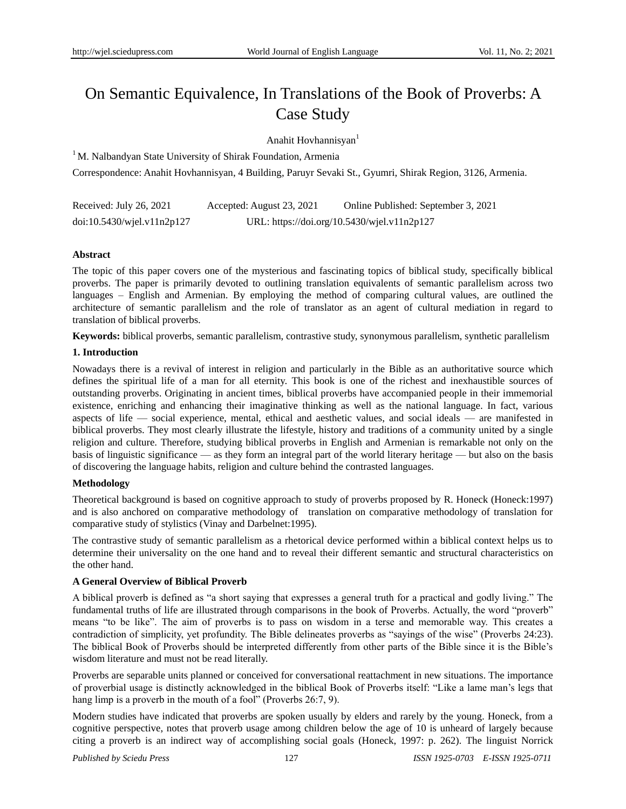# On Semantic Equivalence, In Translations of the Book of Proverbs: A Case Study

Anahit Hovhannisyan<sup>1</sup>

<sup>1</sup> M. Nalbandyan State University of Shirak Foundation, Armenia

Correspondence: Anahit Hovhannisyan, 4 Building, Paruyr Sevaki St., Gyumri, Shirak Region, 3126, Armenia.

| Received: July 26, 2021    | Accepted: August 23, 2021                   | Online Published: September 3, 2021 |
|----------------------------|---------------------------------------------|-------------------------------------|
| doi:10.5430/wjel.v11n2p127 | URL: https://doi.org/10.5430/wjel.v11n2p127 |                                     |

## **Abstract**

The topic of this paper covers one of the mysterious and fascinating topics of biblical study, specifically biblical proverbs. The paper is primarily devoted to outlining translation equivalents of semantic parallelism across two languages – English and Armenian. By employing the method of comparing cultural values, are outlined the architecture of semantic parallelism and the role of translator as an agent of cultural mediation in regard to translation of biblical proverbs.

**Keywords:** biblical proverbs, semantic parallelism, contrastive study, synonymous parallelism, synthetic parallelism

## **1. Introduction**

Nowadays there is a revival of interest in religion and particularly in the Bible as an authoritative source which defines the spiritual life of a man for all eternity. This book is one of the richest and inexhaustible sources of outstanding proverbs. Originating in ancient times, biblical proverbs have accompanied people in their immemorial existence, enriching and enhancing their imaginative thinking as well as the national language. In fact, various aspects of life — social experience, mental, ethical and aesthetic values, and social ideals — are manifested in biblical proverbs. They most clearly illustrate the lifestyle, history and traditions of a community united by a single religion and culture. Therefore, studying biblical proverbs in English and Armenian is remarkable not only on the basis of linguistic significance — as they form an integral part of the world literary heritage — but also on the basis of discovering the language habits, religion and culture behind the contrasted languages.

## **Methodology**

Theoretical background is based on cognitive approach to study of proverbs proposed by R. Honeck (Honeck:1997) and is also anchored on comparative methodology of translation on comparative methodology of translation for comparative study of stylistics (Vinay and Darbelnet:1995).

The contrastive study of semantic parallelism as a rhetorical device performed within a biblical context helps us to determine their universality on the one hand and to reveal their different semantic and structural characteristics on the other hand.

## **A General Overview of Biblical Proverb**

A biblical proverb is defined as "a short saying that expresses a general truth for a practical and godly living." The fundamental truths of life are illustrated through comparisons in the book of Proverbs. Actually, the word "proverb" means "to be like". The aim of proverbs is to pass on wisdom in a terse and memorable way. This creates a contradiction of simplicity, yet profundity. The Bible delineates proverbs as "sayings of the wise" (Proverbs 24:23). The biblical Book of Proverbs should be interpreted differently from other parts of the Bible since it is the Bible's wisdom literature and must not be read literally.

Proverbs are separable units planned or conceived for conversational reattachment in new situations. The importance of proverbial usage is distinctly acknowledged in the biblical Book of Proverbs itself: "Like a lame man's legs that hang limp is a proverb in the mouth of a fool" (Proverbs  $26:7, 9$ ).

Modern studies have indicated that proverbs are spoken usually by elders and rarely by the young. Honeck, from a cognitive perspective, notes that proverb usage among children below the age of 10 is unheard of largely because citing a proverb is an indirect way of accomplishing social goals (Honeck, 1997: p. 262). The linguist Norrick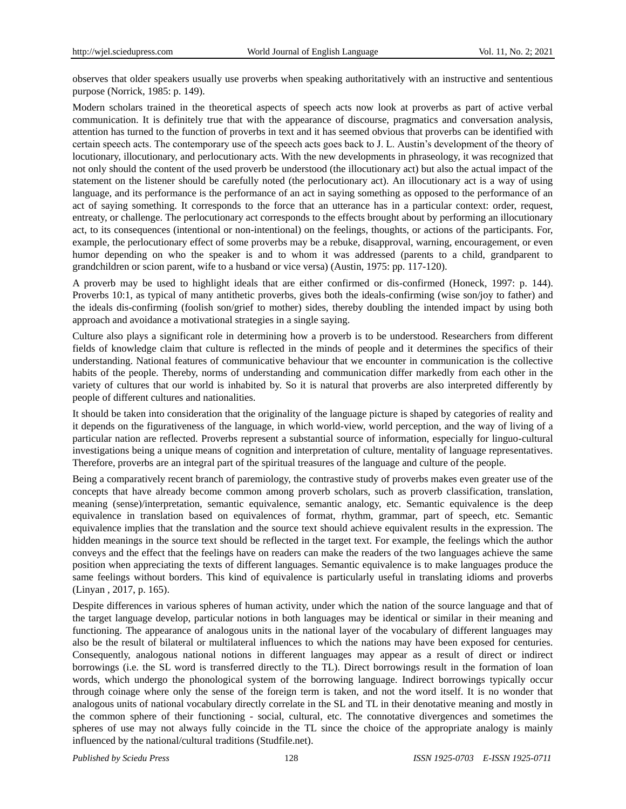observes that older speakers usually use proverbs when speaking authoritatively with an instructive and sententious purpose (Norrick, 1985: p. 149).

Modern scholars trained in the theoretical aspects of speech acts now look at proverbs as part of active verbal communication. It is definitely true that with the appearance of discourse, pragmatics and conversation analysis, attention has turned to the function of proverbs in text and it has seemed obvious that proverbs can be identified with certain speech acts. The contemporary use of the speech acts goes back to J. L. Austin's development of the theory of locutionary, illocutionary, and perlocutionary acts. With the new developments in phraseology, it was recognized that not only should the content of the used proverb be understood (the illocutionary act) but also the actual impact of the statement on the listener should be carefully noted (the perlocutionary act). An illocutionary act is a way of using language, and its performance is the performance of an act in saying something as opposed to the performance of an act of saying something. It corresponds to the force that an utterance has in a particular context: order, request, entreaty, or challenge. The perlocutionary act corresponds to the effects brought about by performing an illocutionary act, to its consequences (intentional or non-intentional) on the feelings, thoughts, or actions of the participants. For, example, the perlocutionary effect of some proverbs may be a rebuke, disapproval, warning, encouragement, or even humor depending on who the speaker is and to whom it was addressed (parents to a child, grandparent to grandchildren or scion parent, wife to a husband or vice versa) (Austin, 1975: pp. 117-120).

A proverb may be used to highlight ideals that are either confirmed or dis-confirmed (Honeck, 1997: p. 144). Proverbs 10:1, as typical of many antithetic proverbs, gives both the ideals-confirming (wise son/joy to father) and the ideals dis-confirming (foolish son/grief to mother) sides, thereby doubling the intended impact by using both approach and avoidance a motivational strategies in a single saying.

Culture also plays a significant role in determining how a proverb is to be understood. Researchers from different fields of knowledge claim that culture is reflected in the minds of people and it determines the specifics of their understanding. National features of communicative behaviour that we encounter in communication is the collective habits of the people. Thereby, norms of understanding and communication differ markedly from each other in the variety of cultures that our world is inhabited by. So it is natural that proverbs are also interpreted differently by people of different cultures and nationalities.

It should be taken into consideration that the originality of the language picture is shaped by categories of reality and it depends on the figurativeness of the language, in which world-view, world perception, and the way of living of a particular nation are reflected. Proverbs represent a substantial source of information, especially for linguo-cultural investigations being a unique means of cognition and interpretation of culture, mentality of language representatives. Therefore, proverbs are an integral part of the spiritual treasures of the language and culture of the people.

Being a comparatively recent branch of paremiology, the contrastive study of proverbs makes even greater use of the concepts that have already become common among proverb scholars, such as proverb classification, translation, meaning (sense)/interpretation, semantic equivalence, semantic analogy, etc. Semantic equivalence is the deep equivalence in translation based on equivalences of format, rhythm, grammar, part of speech, etc. Semantic equivalence implies that the translation and the source text should achieve equivalent results in the expression. The hidden meanings in the source text should be reflected in the target text. For example, the feelings which the author conveys and the effect that the feelings have on readers can make the readers of the two languages achieve the same position when appreciating the texts of different languages. Semantic equivalence is to make languages produce the same feelings without borders. This kind of equivalence is particularly useful in translating idioms and proverbs (Linyan , 2017, p. 165).

Despite differences in various spheres of human activity, under which the nation of the source language and that of the target language develop, particular notions in both languages may be identical or similar in their meaning and functioning. The appearance of analogous units in the national layer of the vocabulary of different languages may also be the result of bilateral or multilateral influences to which the nations may have been exposed for centuries. Consequently, analogous national notions in different languages may appear as a result of direct or indirect borrowings (i.e. the SL word is transferred directly to the TL). Direct borrowings result in the formation of loan words, which undergo the phonological system of the borrowing language. Indirect borrowings typically occur through coinage where only the sense of the foreign term is taken, and not the word itself. It is no wonder that analogous units of national vocabulary directly correlate in the SL and TL in their denotative meaning and mostly in the common sphere of their functioning - social, cultural, etc. The connotative divergences and sometimes the spheres of use may not always fully coincide in the TL since the choice of the appropriate analogy is mainly influenced by the national/cultural traditions (Studfile.net).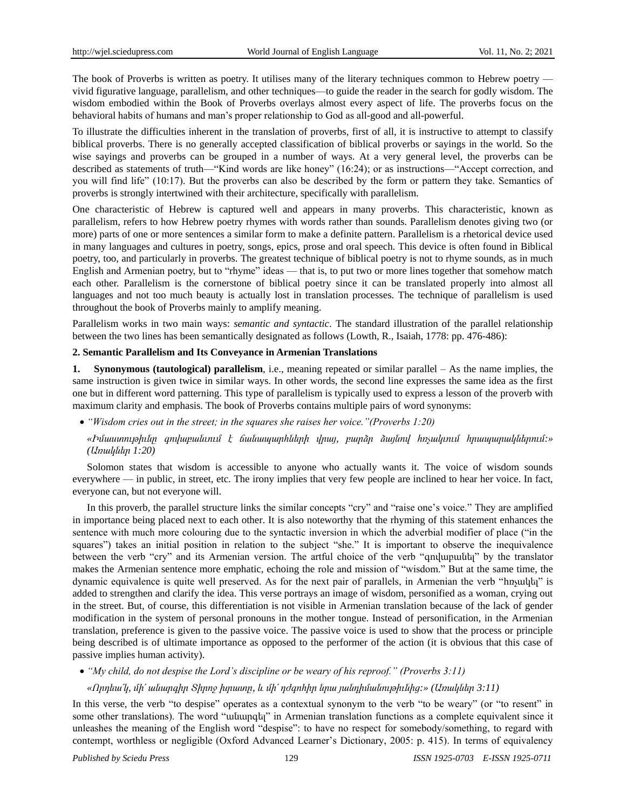The book of Proverbs is written as poetry. It utilises many of the literary techniques common to Hebrew poetry vivid figurative language, parallelism, and other techniques—to guide the reader in the search for godly wisdom. The wisdom embodied within the Book of Proverbs overlays almost every aspect of life. The proverbs focus on the behavioral habits of humans and man's proper relationship to God as all-good and all-powerful.

To illustrate the difficulties inherent in the translation of proverbs, first of all, it is instructive to attempt to classify biblical proverbs. There is no generally accepted classification of biblical proverbs or sayings in the world. So the wise sayings and proverbs can be grouped in a number of ways. At a very general level, the proverbs can be described as statements of truth—"Kind words are like honey" (16:24); or as instructions—"Accept correction, and you will find life" (10:17). But the proverbs can also be described by the form or pattern they take. Semantics of proverbs is strongly intertwined with their architecture, specifically with parallelism.

One characteristic of Hebrew is captured well and appears in many proverbs. This characteristic, known as parallelism, refers to how Hebrew poetry rhymes with words rather than sounds. Parallelism denotes giving two (or more) parts of one or more sentences a similar form to make a definite pattern. Parallelism is a rhetorical device used in many languages and cultures in poetry, songs, epics, prose and oral speech. This device is often found in Biblical poetry, too, and particularly in proverbs. The greatest technique of biblical poetry is not to rhyme sounds, as in much English and Armenian poetry, but to "rhyme" ideas — that is, to put two or more lines together that somehow match each other. Parallelism is the cornerstone of biblical poetry since it can be translated properly into almost all languages and not too much beauty is actually lost in translation processes. The technique of parallelism is used throughout the book of Proverbs mainly to amplify meaning.

Parallelism works in two main ways: *semantic and syntactic*. The standard illustration of the parallel relationship between the two lines has been semantically designated as follows (Lowth, R., Isaiah, 1778: pp. 476-486):

#### **2. Semantic Parallelism and Its Conveyance in Armenian Translations**

**1. Synonymous (tautological) parallelism**, i.e., meaning repeated or similar parallel – As the name implies, the same instruction is given twice in similar ways. In other words, the second line expresses the same idea as the first one but in different word patterning. This type of parallelism is typically used to express a lesson of the proverb with maximum clarity and emphasis. The book of Proverbs contains multiple pairs of word synonyms:

*―Wisdom cries out in the street; in the squares she raises her voice.‖(Proverbs 1:20)*

*«Իմաստութիւնը գովաբանւում է ճանապարհների վրայ, բարձր ձայնով հռչակւում հրապարակներում:» (Առակներ 1:20)*

Solomon states that wisdom is accessible to anyone who actually wants it. The voice of wisdom sounds everywhere — in public, in street, etc. The irony implies that very few people are inclined to hear her voice. In fact, everyone can, but not everyone will.

In this proverb, the parallel structure links the similar concepts "cry" and "raise one's voice." They are amplified in importance being placed next to each other. It is also noteworthy that the rhyming of this statement enhances the sentence with much more colouring due to the syntactic inversion in which the adverbial modifier of place ("in the squares") takes an initial position in relation to the subject "she." It is important to observe the inequivalence between the verb "cry" and its Armenian version. The artful choice of the verb "qnyupuutuut" by the translator makes the Armenian sentence more emphatic, echoing the role and mission of "wisdom." But at the same time, the dynamic equivalence is quite well preserved. As for the next pair of parallels, in Armenian the verb "hnyuluti" is added to strengthen and clarify the idea. This verse portrays an image of wisdom, personified as a woman, crying out in the street. But, of course, this differentiation is not visible in Armenian translation because of the lack of gender modification in the system of personal pronouns in the mother tongue. Instead of personification, in the Armenian translation, preference is given to the passive voice. The passive voice is used to show that the process or principle being described is of ultimate importance as opposed to the performer of the action (it is obvious that this case of passive implies human activity).

*―My child, do not despise the Lord's discipline or be weary of his reproof.‖ (Proverbs 3:11)*

*«Որդեա՛կ, մի՛ անարգիր Տիրոջ խրատը, և մի՛ դժգոհիր նրա յանդիմանութիւնից:» (Առակներ 3:11)*

In this verse, the verb "to despise" operates as a contextual synonym to the verb "to be weary" (or "to resent" in some other translations). The word "wutuupqti" in Armenian translation functions as a complete equivalent since it unleashes the meaning of the English word "despise": to have no respect for somebody/something, to regard with contempt, worthless or negligible (Oxford Advanced Learner's Dictionary, 2005: p. 415). In terms of equivalency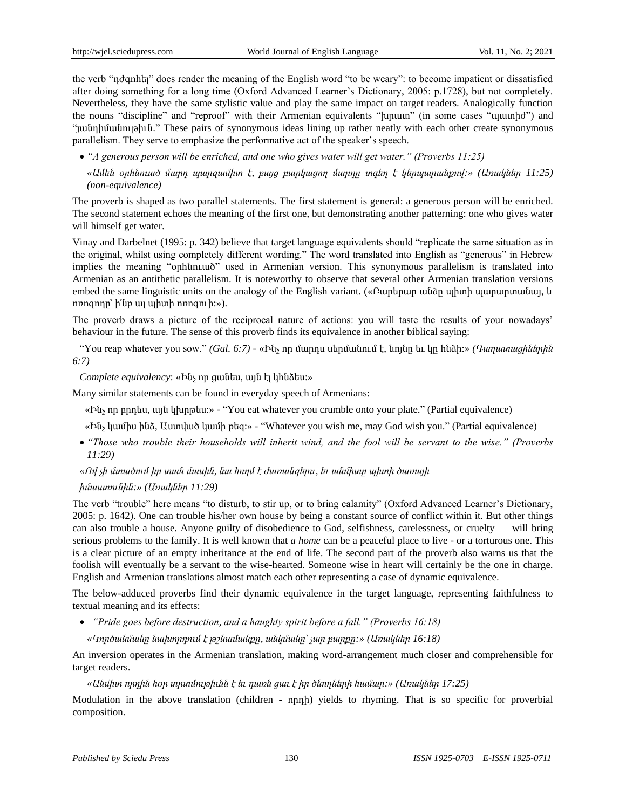the verb "ndqnhtq" does render the meaning of the English word "to be weary": to become impatient or dissatisfied after doing something for a long time (Oxford Advanced Learner's Dictionary, 2005: p.1728), but not completely. Nevertheless, they have the same stylistic value and play the same impact on target readers. Analogically function the nouns "discipline" and "reproof" with their Armenian equivalents "humum" (in some cases "unuunhd") and ―յանդիմանութիւն.‖ These pairs of synonymous ideas lining up rather neatly with each other create synonymous parallelism. They serve to emphasize the performative act of the speaker's speech.

● "*A generous person will be enriched, and one who gives water will get water.*" (*Proverbs 11:25*)

*«Ամեն օրհնուած մարդ պարզամիտ է, բայց բարկացող մարդը տգեղ է կերպարանքով:» (Առակներ 11:25) (non-equivalence)*

The proverb is shaped as two parallel statements. The first statement is general: a generous person will be enriched. The second statement echoes the meaning of the first one, but demonstrating another patterning: one who gives water will himself get water.

Vinay and Darbelnet (1995: p. 342) believe that target language equivalents should "replicate the same situation as in the original, whilst using completely different wording." The word translated into English as "generous" in Hebrew implies the meaning "onh ūnιωδ" used in Armenian version. This synonymous parallelism is translated into Armenian as an antithetic parallelism. It is noteworthy to observe that several other Armenian translation versions embed the same linguistic units on the analogy of the English variant. («Բարերար անձը պիտի պարարտանայ, և ոռոգողը՝ ի՛նք ալ պիտի ոռոգուի:»).

The proverb draws a picture of the reciprocal nature of actions: you will taste the results of your nowadays' behaviour in the future. The sense of this proverb finds its equivalence in another biblical saying:

―You reap whatever you sow.‖ *(Gal. 6:7)* - «Ինչ որ մարդս սերմանում է, նոյնը եւ կը հնձի:» *(Գաղատացիներին 6:7)*

*Complete equivalency*: «Ինչ որ ցանես, այն էլ կհնձես:»

Many similar statements can be found in everyday speech of Armenians:

«Ինչ որ բրդես, այն կխրթես: » - "You eat whatever you crumble onto your plate." (Partial equivalence)

«Ինչ կամիս ինձ, Աստված կամի քեզ: » - "Whatever you wish me, may God wish you." (Partial equivalence)

 *―Those who trouble their households will inherit wind, and the fool will be servant to the wise.‖ (Proverbs 11:29)*

### *«Ով չի մտածում իր տան մասին, նա հողմ է ժառանգելու, եւ անմիտը պիտի ծառայի*

#### *իմաստունին:»(Առակներ 11:29)*

The verb "trouble" here means "to disturb, to stir up, or to bring calamity" (Oxford Advanced Learner's Dictionary, 2005: p. 1642). One can trouble his/her own house by being a constant source of conflict within it. But other things can also trouble a house. Anyone guilty of disobedience to God, selfishness, carelessness, or cruelty — will bring serious problems to the family. It is well known that *a home* can be a peaceful place to live - or a torturous one. This is a clear picture of an empty inheritance at the end of life. The second part of the proverb also warns us that the foolish will eventually be a servant to the wise-hearted. Someone wise in heart will certainly be the one in charge. English and Armenian translations almost match each other representing a case of dynamic equivalence.

The below-adduced proverbs find their dynamic equivalence in the target language, representing faithfulness to textual meaning and its effects:

- *―Pride goes before destruction, and a haughty spirit before a fall.‖ (Proverbs 16:18)*
	- *«Կործանմանը նախորդում է թշնամանքը, անկմանը՝ չար բարքը:» (Առակներ 16:18)*

An inversion operates in the Armenian translation, making word-arrangement much closer and comprehensible for target readers.

*«Անմիտ որդին հօր տրտմութիւնն է եւ դառն ցաւ է իր ծնողների համար:» (Առակներ 17:25)* 

Modulation in the above translation (children - npnh) yields to rhyming. That is so specific for proverbial composition.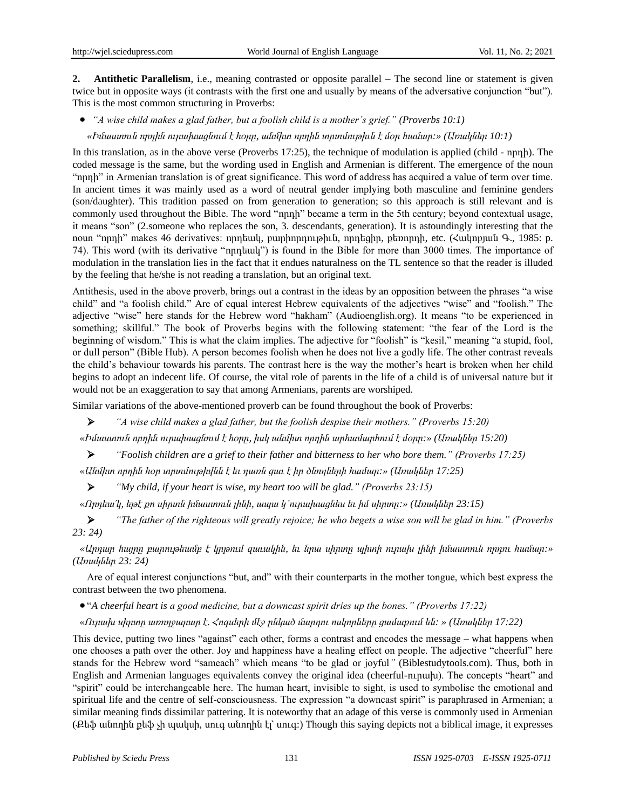**2. Antithetic Parallelism**, i.e., meaning contrasted or opposite parallel – The second line or statement is given twice but in opposite ways (it contrasts with the first one and usually by means of the adversative conjunction "but"). This is the most common structuring in Proverbs:

*―A wise child makes a glad father, but a foolish child is a mother's grief.‖ (Proverbs 10:1)*

*«Իմաստուն որդին ուրախացնում է հօրը, անմիտ որդին տրտմութիւն է մօր համար:» (Առակներ 10:1)* 

In this translation, as in the above verse (Proverbs 17:25), the technique of modulation is applied (child - որդի). The coded message is the same, but the wording used in English and Armenian is different. The emergence of the noun "nnnh" in Armenian translation is of great significance. This word of address has acquired a value of term over time. In ancient times it was mainly used as a word of neutral gender implying both masculine and feminine genders (son/daughter). This tradition passed on from generation to generation; so this approach is still relevant and is commonly used throughout the Bible. The word "nnnh" became a term in the 5th century; beyond contextual usage, it means "son" (2.someone who replaces the son, 3. descendants, generation). It is astoundingly interesting that the noun "nրդի" makes 46 derivatives: որդեակ, բարիորդութիւն, որդեցիր, քեռորդի, etc. (Հակոբյան Գ., 1985: p. 74). This word (with its derivative "nnnumuly") is found in the Bible for more than 3000 times. The importance of modulation in the translation lies in the fact that it endues naturalness on the TL sentence so that the reader is illuded by the feeling that he/she is not reading a translation, but an original text.

Antithesis, used in the above proverb, brings out a contrast in the ideas by an opposition between the phrases "a wise child" and "a foolish child." Are of equal interest Hebrew equivalents of the adjectives "wise" and "foolish." The adjective "wise" here stands for the Hebrew word "hakham" (Audioenglish.org). It means "to be experienced in something; skillful." The book of Proverbs begins with the following statement: "the fear of the Lord is the beginning of wisdom." This is what the claim implies. The adjective for "foolish" is "kesil," meaning "a stupid, fool, or dull person‖ (Bible Hub). A person becomes foolish when he does not live a godly life. The other contrast reveals the child's behaviour towards his parents. The contrast here is the way the mother's heart is broken when her child begins to adopt an indecent life. Of course, the vital role of parents in the life of a child is of universal nature but it would not be an exaggeration to say that among Armenians, parents are worshiped.

Similar variations of the above-mentioned proverb can be found throughout the book of Proverbs:

*―A wise child makes a glad father, but the foolish despise their mothers.‖ (Proverbs 15:20)*

*«Իմաստուն որդին ուրախացնում է հօրը, իսկ անմիտ որդին արհամարհում է մօրը:» (Առակներ 15:20)*

*―Foolish children are a grief to their father and bitterness to her who bore them.‖ (Proverbs 17:25)*

*«Անմիտ որդին հօր տրտմութիվնն է եւ դառն ցաւ է իր ծնողների համար:»(Առակներ 17:25)*

*―My child, if your heart is wise, my heart too will be glad.‖ (Proverbs 23:15)*

*«Որդեա՛կ, եթէ քո սիրտն իմաստուն լինի, ապա կ'ուրախացնես եւ իմ սիրտը:»(Առակներ 23:15)*

 *―The father of the righteous will greatly rejoice; he who begets a wise son will be glad in him.‖ (Proverbs 23: 24)*

*«Արդար հայրը բարութեամբ է կրթում զաւակին, եւ նրա սիրտը պիտի ուրախ լինի իմաստուն որդու համար:» (Առակներ 23: 24)*

Are of equal interest conjunctions "but, and" with their counterparts in the mother tongue, which best express the contrast between the two phenomena.

―*A cheerful heart is a good medicine, but a downcast spirit dries up the bones.‖ (Proverbs 17:22)*

*«Ուրախ սիրտը առողջարար է. Հոգսերի մէջ ընկած մարդու ոսկորները ցամաքում են: » (Առակներ 17:22)*

This device, putting two lines "against" each other, forms a contrast and encodes the message – what happens when one chooses a path over the other. Joy and happiness have a healing effect on people. The adjective "cheerful" here stands for the Hebrew word "sameach" which means "to be glad or joyful" (Biblestudytools.com). Thus, both in English and Armenian languages equivalents convey the original idea (cheerful-ninumulation). The concepts "heart" and ―spirit‖ could be interchangeable here. The human heart, invisible to sight, is used to symbolise the emotional and spiritual life and the centre of self-consciousness. The expression "a downcast spirit" is paraphrased in Armenian; a similar meaning finds dissimilar pattering. It is noteworthy that an adage of this verse is commonly used in Armenian (Քեֆ անողին քեֆ չի պակսի, սուգ անողին էլ՝ սուգ:) Though this saying depicts not a biblical image, it expresses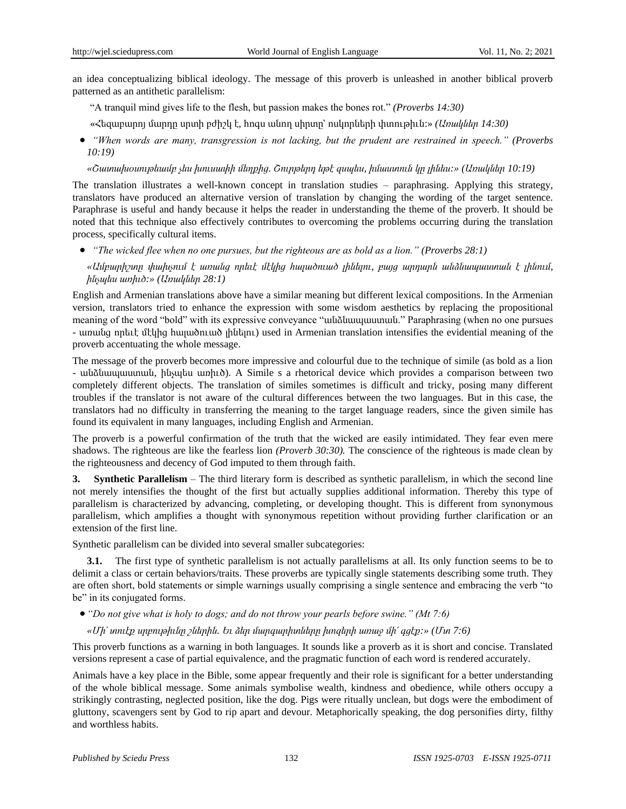an idea conceptualizing biblical ideology. The message of this proverb is unleashed in another biblical proverb patterned as an antithetic parallelism:

- ―A tranquil mind gives life to the flesh, but passion makes the bones rot.‖ *(Proverbs 14:30)*
- «Հեզաբարոյ մարդը սրտի բժիշկ է, հոգս անող սիրտը՝ ոսկորների փտութիւն:» *(Առակներ 14:30)*
- *―When words are many, transgression is not lacking, but the prudent are restrained in speech.‖ (Proverbs 10:19)*

*«Շատախօսութեամբ չես խուսափի մեղքից. Շուրթերդ եթէ զսպես, իմաստուն կը լինես:» (Առակներ 10:19)*

The translation illustrates a well-known concept in translation studies – paraphrasing. Applying this strategy, translators have produced an alternative version of translation by changing the wording of the target sentence. Paraphrase is useful and handy because it helps the reader in understanding the theme of the proverb. It should be noted that this technique also effectively contributes to overcoming the problems occurring during the translation process, specifically cultural items.

*―The wicked flee when no one pursues, but the righteous are as bold as a lion.‖ (Proverbs 28:1)*

*«Ամբարիշտը փախչում է առանց որեւէ մէկից հալածուած լինելու, բայց արդարն անձնապաստան է լինում, ինչպես առիւծ:» (Առակներ 28:1)*

English and Armenian translations above have a similar meaning but different lexical compositions. In the Armenian version, translators tried to enhance the expression with some wisdom aesthetics by replacing the propositional meaning of the word "bold" with its expressive conveyance "անձնապաստան." Paraphrasing (when no one pursues - առանց որեւէ մէկից հալածուած լինելու) used in Armenian translation intensifies the evidential meaning of the proverb accentuating the whole message.

The message of the proverb becomes more impressive and colourful due to the technique of simile (as bold as a lion - անձնապաստան, ինչպես առիւծ). A Simile s a rhetorical device which provides a comparison between two completely different objects. The translation of similes sometimes is difficult and tricky, posing many different troubles if the translator is not aware of the cultural differences between the two languages. But in this case, the translators had no difficulty in transferring the meaning to the target language readers, since the given simile has found its equivalent in many languages, including English and Armenian.

The proverb is a powerful confirmation of the truth that the wicked are easily intimidated. They fear even mere shadows. The righteous are like the fearless lion *(Proverb 30:30).* The conscience of the righteous is made clean by the righteousness and decency of God imputed to them through faith.

**3. Synthetic Parallelism** – The third literary form is described as synthetic parallelism, in which the second line not merely intensifies the thought of the first but actually supplies additional information. Thereby this type of parallelism is characterized by advancing, completing, or developing thought. This is different from synonymous parallelism, which amplifies a thought with synonymous repetition without providing further clarification or an extension of the first line.

Synthetic parallelism can be divided into several smaller subcategories:

**3.1.** The first type of synthetic parallelism is not actually parallelisms at all. Its only function seems to be to delimit a class or certain behaviors/traits. These proverbs are typically single statements describing some truth. They are often short, bold statements or simple warnings usually comprising a single sentence and embracing the verb "to be" in its conjugated forms.

● "*Do not give what is holy to dogs; and do not throw your pearls before swine.*" (*Mt 7:6*)

*«Մի՛ տուէք սրբութիւնը շներին. Եւ ձեր մարգարիտները խոզերի առաջ մի՛ գցէք:» (Մտ 7:6)*

This proverb functions as a warning in both languages. It sounds like a proverb as it is short and concise. Translated versions represent a case of partial equivalence, and the pragmatic function of each word is rendered accurately.

Animals have a key place in the Bible, some appear frequently and their role is significant for a better understanding of the whole biblical message. Some animals symbolise wealth, kindness and obedience, while others occupy a strikingly contrasting, neglected position, like the dog. Pigs were ritually unclean, but dogs were the embodiment of gluttony, scavengers sent by God to rip apart and devour. Metaphorically speaking, the dog personifies dirty, filthy and worthless habits.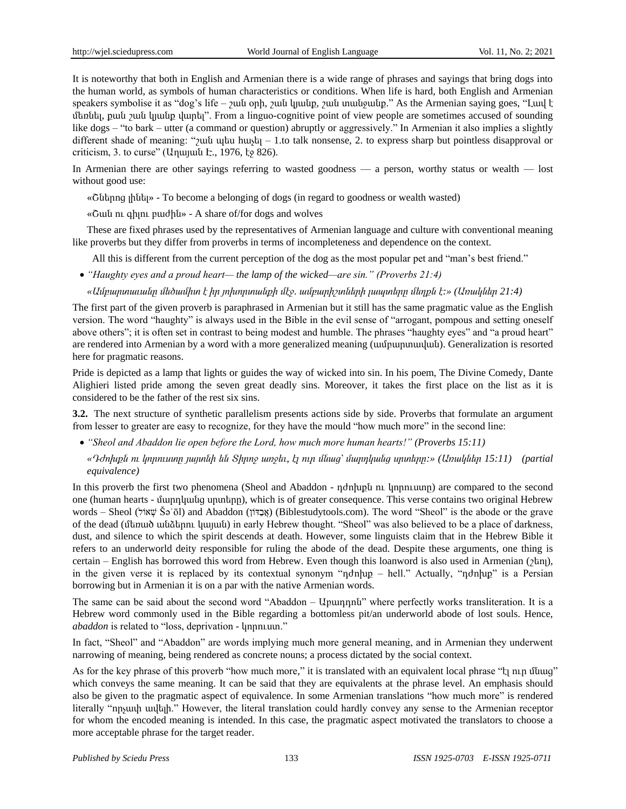It is noteworthy that both in English and Armenian there is a wide range of phrases and sayings that bring dogs into the human world, as symbols of human characteristics or conditions. When life is hard, both English and Armenian speakers symbolise it as "dog's life –  $\gamma$ ան օրի,  $\gamma$ ան կյանք,  $\gamma$ ան տանջանք." As the Armenian saying goes, "Luul t մեռնել, քան շան կյանք վարել". From a linguo-cognitive point of view people are sometimes accused of sounding like dogs – "to bark – utter (a command or question) abruptly or aggressively." In Armenian it also implies a slightly different shade of meaning: " $\gamma$ uut uutu huustu – 1.to talk nonsense, 2. to express sharp but pointless disapproval or criticism, 3. to curse" (Աղայան Է., 1976, էջ 826).

In Armenian there are other sayings referring to wasted goodness — a person, worthy status or wealth — lost without good use:

«Շներոց լինել» - To become a belonging of dogs (in regard to goodness or wealth wasted)

«Շան ու գիլու բաժին» - A share of/for dogs and wolves

These are fixed phrases used by the representatives of Armenian language and culture with conventional meaning like proverbs but they differ from proverbs in terms of incompleteness and dependence on the context.

All this is different from the current perception of the dog as the most popular pet and "man's best friend."

*―Haughty eyes and a proud heart— the lamp of the wicked—are sin.‖ (Proverbs 21:4)* 

*«Ամբարտաւանը մեծամիտ է իր յոխորտանքի մէջ. ամբարիշտների լապտերը մեղքն է:» (Առակներ 21:4)*

The first part of the given proverb is paraphrased in Armenian but it still has the same pragmatic value as the English version. The word "haughty" is always used in the Bible in the evil sense of "arrogant, pompous and setting oneself above others"; it is often set in contrast to being modest and humble. The phrases "haughty eyes" and "a proud heart" are rendered into Armenian by a word with a more generalized meaning (ամբարտավան). Generalization is resorted here for pragmatic reasons.

Pride is depicted as a lamp that lights or guides the way of wicked into sin. In his poem, The Divine Comedy, Dante Alighieri listed pride among the seven great deadly sins. Moreover, it takes the first place on the list as it is considered to be the father of the rest six sins.

**3.2.** The next structure of synthetic parallelism presents actions side by side. Proverbs that formulate an argument from lesser to greater are easy to recognize, for they have the mould "how much more" in the second line:

*―Sheol and Abaddon lie open before the Lord, how much more human hearts!‖ (Proverbs 15:11)*

*«Դժոխքն ու կորուստը յայտնի են Տիրոջ առջեւ, էլ ուր մնաց՝ մարդկանց սրտերը:» (Առակներ 15:11) (partial equivalence)*

In this proverb the first two phenomena (Sheol and Abaddon - դժոխքն ու կորուստը) are compared to the second one (human hearts - մարդկանց սրտերը), which is of greater consequence. This verse contains two original Hebrew words – Sheol ("אבדּוֹר (Biblestudytools.com). The word "Sheol" is the abode or the grave (אבדוֹר Abaddon) (אבד of the dead (մեռած անձերու կայան) in early Hebrew thought. "Sheol" was also believed to be a place of darkness, dust, and silence to which the spirit descends at death. However, some linguists claim that in the Hebrew Bible it refers to an underworld deity responsible for ruling the abode of the dead. Despite these arguments, one thing is certain – English has borrowed this word from Hebrew. Even though this loanword is also used in Armenian (շեոլ), in the given verse it is replaced by its contextual synonym "nothlup – hell." Actually, "nothlup" is a Persian borrowing but in Armenian it is on a par with the native Armenian words.

The same can be said about the second word "Abaddon – Upunnina" where perfectly works transliteration. It is a Hebrew word commonly used in the Bible regarding a bottomless pit/an underworld abode of lost souls. Hence, *abaddon* is related to "loss, deprivation - կորուստ."

In fact, "Sheol" and "Abaddon" are words implying much more general meaning, and in Armenian they underwent narrowing of meaning, being rendered as concrete nouns; a process dictated by the social context.

As for the key phrase of this proverb "how much more," it is translated with an equivalent local phrase " $t<sub>l</sub>$  n.m մնաց" which conveys the same meaning. It can be said that they are equivalents at the phrase level. An emphasis should also be given to the pragmatic aspect of equivalence. In some Armenian translations "how much more" is rendered literally "npyuuh uuluh." However, the literal translation could hardly convey any sense to the Armenian receptor for whom the encoded meaning is intended. In this case, the pragmatic aspect motivated the translators to choose a more acceptable phrase for the target reader.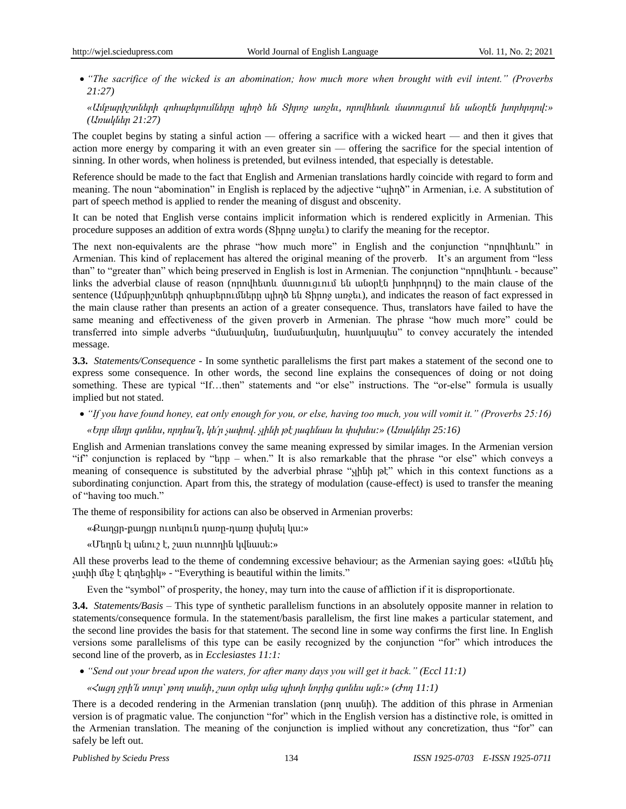● "The sacrifice of the wicked is an abomination; how much more when brought with evil intent." (Proverbs *21:27)*

*«Ամբարիշտների զոհաբերումները պիղծ են Տիրոջ առջեւ, որովհետև մատուցւում են անօրէն խորհրդով:» (Առակներ 21:27)*

The couplet begins by stating a sinful action — offering a sacrifice with a wicked heart — and then it gives that action more energy by comparing it with an even greater sin — offering the sacrifice for the special intention of sinning. In other words, when holiness is pretended, but evilness intended, that especially is detestable.

Reference should be made to the fact that English and Armenian translations hardly coincide with regard to form and meaning. The noun "abomination" in English is replaced by the adjective "ulnno" in Armenian, i.e. A substitution of part of speech method is applied to render the meaning of disgust and obscenity.

It can be noted that English verse contains implicit information which is rendered explicitly in Armenian. This procedure supposes an addition of extra words (Տիրոջ առջեւ) to clarify the meaning for the receptor.

The next non-equivalents are the phrase "how much more" in English and the conjunction "nnnulhunul" in Armenian. This kind of replacement has altered the original meaning of the proverb. It's an argument from "less than" to "greater than" which being preserved in English is lost in Armenian. The conjunction "nnulhumlu - because" links the adverbial clause of reason (որովհետև մատուցւում են անօրէն խորհրդով) to the main clause of the sentence (Ամբարիշտների զոհաբերումները պիղծ են Տիրոջ առջեւ), and indicates the reason of fact expressed in the main clause rather than presents an action of a greater consequence. Thus, translators have failed to have the same meaning and effectiveness of the given proverb in Armenian. The phrase "how much more" could be transferred into simple adverbs "մանավանդ, նամանավանդ, hատկապես" to convey accurately the intended message.

**3.3.** *Statements/Consequence* - In some synthetic parallelisms the first part makes a statement of the second one to express some consequence. In other words, the second line explains the consequences of doing or not doing something. These are typical "If...then" statements and "or else" instructions. The "or-else" formula is usually implied but not stated.

 *―If you have found honey, eat only enough for you, or else, having too much, you will vomit it.‖ (Proverbs 25:16) «Երբ մեղր գտնես, որդեա՛կ, կե՛ր չափով. չլինի թէ յագենաս եւ փսխես:» (Առակներ 25:16)*

English and Armenian translations convey the same meaning expressed by similar images. In the Armenian version "if" conjunction is replaced by " $t_{\text{app}}$  – when." It is also remarkable that the phrase "or else" which conveys a meaning of consequence is substituted by the adverbial phrase "y<sub>l</sub>hup pt" which in this context functions as a subordinating conjunction. Apart from this, the strategy of modulation (cause-effect) is used to transfer the meaning of "having too much."

The theme of responsibility for actions can also be observed in Armenian proverbs:

«Քաղցր-քաղցր ուտելուն դառը-դառը փսխել կա:»

«Մեղրն էլ անուշ է, շատ ուտողին կվնասե:»

All these proverbs lead to the theme of condemning excessive behaviour; as the Armenian saying goes: «Ամեն ինչ չափի մեջ է գեղեցիկ» - "Everything is beautiful within the limits."

Even the "symbol" of prosperity, the honey, may turn into the cause of affliction if it is disproportionate.

**3.4.** *Statements/Basis* – This type of synthetic parallelism functions in an absolutely opposite manner in relation to statements/consequence formula. In the statement/basis parallelism, the first line makes a particular statement, and the second line provides the basis for that statement. The second line in some way confirms the first line. In English versions some parallelisms of this type can be easily recognized by the conjunction "for" which introduces the second line of the proverb, as in *Ecclesiastes 11:1:*

*―Send out your bread upon the waters, for after many days you will get it back.‖ (Eccl 11:1)*

*«Հացդ ջրի՛ն տուր՝ թող տանի, շատ օրեր անց պիտի նորից գտնես այն:» (Ժող 11:1)*

There is a decoded rendering in the Armenian translation (թող տանի). The addition of this phrase in Armenian version is of pragmatic value. The conjunction "for" which in the English version has a distinctive role, is omitted in the Armenian translation. The meaning of the conjunction is implied without any concretization, thus "for" can safely be left out.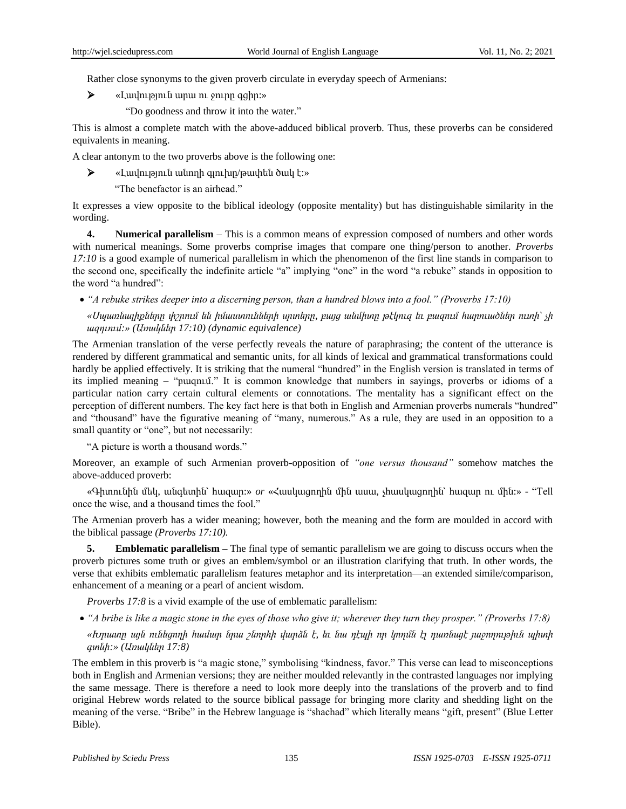Rather close synonyms to the given proverb circulate in everyday speech of Armenians:

- «Լավություն արա ու ջուրը գցիր:»
	- "Do goodness and throw it into the water."

This is almost a complete match with the above-adduced biblical proverb. Thus, these proverbs can be considered equivalents in meaning.

A clear antonym to the two proverbs above is the following one:

«Լավություն անողի գլուխը/թափեն ծակ է:»

"The benefactor is an airhead."

It expresses a view opposite to the biblical ideology (opposite mentality) but has distinguishable similarity in the wording.

**4. Numerical parallelism** – This is a common means of expression composed of numbers and other words with numerical meanings. Some proverbs comprise images that compare one thing/person to another. *Proverbs 17:10* is a good example of numerical parallelism in which the phenomenon of the first line stands in comparison to the second one, specifically the indefinite article "a" implying "one" in the word "a rebuke" stands in opposition to the word "a hundred":

*―A rebuke strikes deeper into a discerning person, than a hundred blows into a fool.‖ (Proverbs 17:10)*

*«Սպառնալիքները փշրում են իմաստունների սրտերը, բայց անմիտը թէկուզ եւ բազում հարուածներ ուտի՝ չի ազդւում:»(Առակներ 17:10) (dynamic equivalence)*

The Armenian translation of the verse perfectly reveals the nature of paraphrasing; the content of the utterance is rendered by different grammatical and semantic units, for all kinds of lexical and grammatical transformations could hardly be applied effectively. It is striking that the numeral "hundred" in the English version is translated in terms of its implied meaning – "pugnu $\mathbf{u}$ ." It is common knowledge that numbers in sayings, proverbs or idioms of a particular nation carry certain cultural elements or connotations. The mentality has a significant effect on the perception of different numbers. The key fact here is that both in English and Armenian proverbs numerals "hundred" and "thousand" have the figurative meaning of "many, numerous." As a rule, they are used in an opposition to a small quantity or "one", but not necessarily:

"A picture is worth a thousand words."

Moreover, an example of such Armenian proverb-opposition of *"one versus thousand"* somehow matches the above-adduced proverb:

«Գիտունին մեկ, անգետին՝ հազար։ » *or «*Հասկացողին մին ասա, չհասկացողին՝ հազար ու մին։ » - "Tell once the wise, and a thousand times the fool."

The Armenian proverb has a wider meaning; however, both the meaning and the form are moulded in accord with the biblical passage *(Proverbs 17:10).*

**5. Emblematic parallelism –** The final type of semantic parallelism we are going to discuss occurs when the proverb pictures some truth or gives an emblem/symbol or an illustration clarifying that truth. In other words, the verse that exhibits emblematic parallelism features metaphor and its interpretation—an extended simile/comparison, enhancement of a meaning or a pearl of ancient wisdom.

*Proverbs 17:8* is a vivid example of the use of emblematic parallelism:

*―A bribe is like a magic stone in the eyes of those who give it; wherever they turn they prosper.‖ (Proverbs 17:8)*

*«Խրատը այն ունեցողի համար նրա շնորհի վարձն է, եւ նա դէպի որ կողմն էլ դառնայէ յաջողութիւն պիտի գտնի:» (Առակներ 17:8)*

The emblem in this proverb is "a magic stone," symbolising "kindness, favor." This verse can lead to misconceptions both in English and Armenian versions; they are neither moulded relevantly in the contrasted languages nor implying the same message. There is therefore a need to look more deeply into the translations of the proverb and to find original Hebrew words related to the source biblical passage for bringing more clarity and shedding light on the meaning of the verse. "Bribe" in the Hebrew language is "shachad" which literally means "gift, present" (Blue Letter Bible).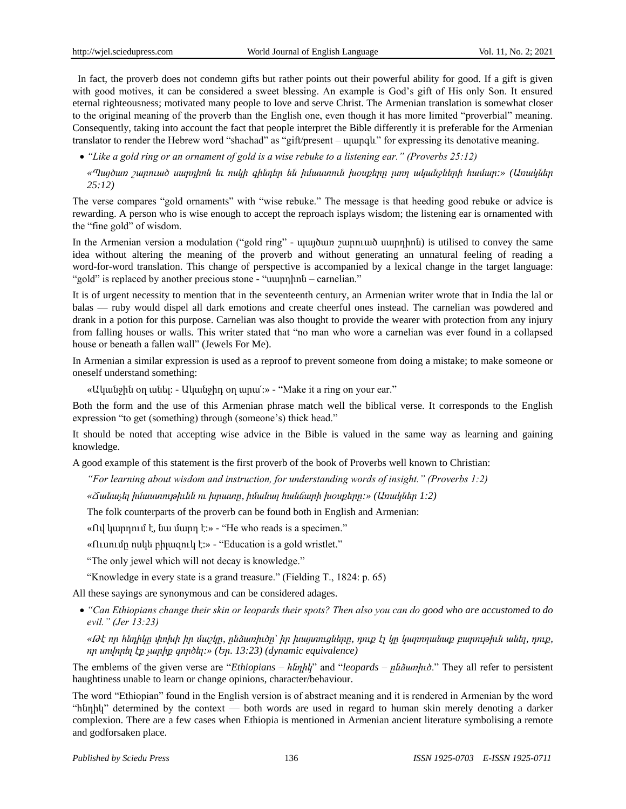In fact, the proverb does not condemn gifts but rather points out their powerful ability for good. If a gift is given with good motives, it can be considered a sweet blessing. An example is God's gift of His only Son. It ensured eternal righteousness; motivated many people to love and serve Christ. The Armenian translation is somewhat closer to the original meaning of the proverb than the English one, even though it has more limited "proverbial" meaning. Consequently, taking into account the fact that people interpret the Bible differently it is preferable for the Armenian translator to render the Hebrew word "shachad" as "gift/present –  $\mu$ ungul" for expressing its denotative meaning.

● "Like a gold ring or an ornament of gold is a wise rebuke to a listening ear." (Proverbs 25:12)

*«Պայծառ շարուած սարդիոն եւ ոսկի գինդեր են իմաստուն խօսքերը լսող ականջների համար:» (Առակներ 25:12)*

The verse compares "gold ornaments" with "wise rebuke." The message is that heeding good rebuke or advice is rewarding. A person who is wise enough to accept the reproach isplays wisdom; the listening ear is ornamented with the "fine gold" of wisdom.

In the Armenian version a modulation ("gold ring" - պայծառ շարուած սարդիոն) is utilised to convey the same idea without altering the meaning of the proverb and without generating an unnatural feeling of reading a word-for-word translation. This change of perspective is accompanied by a lexical change in the target language: "gold" is replaced by another precious stone - "uunnhnut – carnelian."

It is of urgent necessity to mention that in the seventeenth century, an Armenian writer wrote that in India the lal or balas — ruby would dispel all dark emotions and create cheerful ones instead. The carnelian was powdered and drank in a potion for this purpose. Carnelian was also thought to provide the wearer with protection from any injury from falling houses or walls. This writer stated that "no man who wore a carnelian was ever found in a collapsed house or beneath a fallen wall" (Jewels For Me).

In Armenian a similar expression is used as a reproof to prevent someone from doing a mistake; to make someone or oneself understand something:

«Ականջին օղ անել: - Ականջիդ օղ արա՛: » - "Make it a ring on your ear."

Both the form and the use of this Armenian phrase match well the biblical verse. It corresponds to the English expression "to get (something) through (someone's) thick head."

It should be noted that accepting wise advice in the Bible is valued in the same way as learning and gaining knowledge.

A good example of this statement is the first proverb of the book of Proverbs well known to Christian:

*―For learning about wisdom and instruction, for understanding words of insight.‖ (Proverbs 1:2)*

*«Ճանաչել իմաստութիւնն ու խրատը, իմանալ հանճարի խօսքերը:» (Առակներ 1:2)*

The folk counterparts of the proverb can be found both in English and Armenian:

«Ով կարդում է, նա մարդ է: » - "He who reads is a specimen."

«Ուսումը ոսկե բիլազուկ է:» - "Education is a gold wristlet."

"The only jewel which will not decay is knowledge."

"Knowledge in every state is a grand treasure." (Fielding T., 1824: p. 65)

All these sayings are synonymous and can be considered adages.

 *―Can Ethiopians change their skin or leopards their spots? Then also you can do good who are accustomed to do evil.‖ (Jer 13:23)*

*«Թէ որ հնդիկը փոխի իր մաշկը, ընձառիւծը՝ իր խայտուցները, դուք էլ կը կարողանաք բարութիւն անել, դուք, որ սովորել էք չարիք գործել:» (Եր. 13:23) (dynamic equivalence)*

The emblems of the given verse are "*Ethiopians – hunhly*" and "leopards – *pu*α *numhb*." They all refer to persistent haughtiness unable to learn or change opinions, character/behaviour.

The word "Ethiopian" found in the English version is of abstract meaning and it is rendered in Armenian by the word ―հնդիկ‖ determined by the context — both words are used in regard to human skin merely denoting a darker complexion. There are a few cases when Ethiopia is mentioned in Armenian ancient literature symbolising a remote and godforsaken place.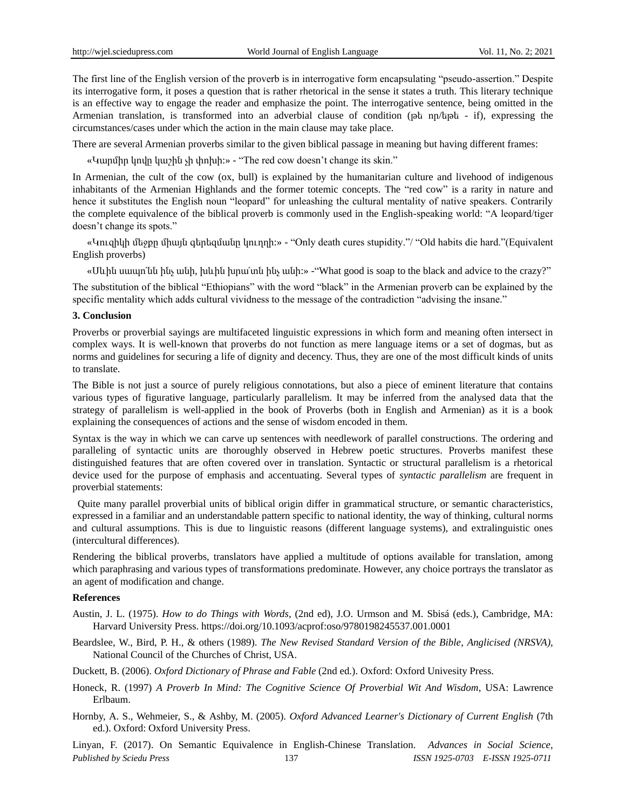The first line of the English version of the proverb is in interrogative form encapsulating "pseudo-assertion." Despite its interrogative form, it poses a question that is rather rhetorical in the sense it states a truth. This literary technique is an effective way to engage the reader and emphasize the point. The interrogative sentence, being omitted in the Armenian translation, is transformed into an adverbial clause of condition (թե որ/եթե - if), expressing the circumstances/cases under which the action in the main clause may take place.

There are several Armenian proverbs similar to the given biblical passage in meaning but having different frames:

«Կարմիր կովը կաշին չի փոխի: » - "The red cow doesn't change its skin."

In Armenian, the cult of the cow (ox, bull) is explained by the humanitarian culture and livehood of indigenous inhabitants of the Armenian Highlands and the former totemic concepts. The "red cow" is a rarity in nature and hence it substitutes the English noun "leopard" for unleashing the cultural mentality of native speakers. Contrarily the complete equivalence of the biblical proverb is commonly used in the English-speaking world: "A leopard/tiger doesn't change its spots."

«Կուզիկի մեջքը միայն գերեզմանը կուղղի: » - "Only death cures stupidity."/ "Old habits die hard."(Equivalent English proverbs)

«Սևին սապո'նն ինչ անի, խևին խրա'տն ինչ անի: »- "What good is soap to the black and advice to the crazy?"

The substitution of the biblical "Ethiopians" with the word "black" in the Armenian proverb can be explained by the specific mentality which adds cultural vividness to the message of the contradiction "advising the insane."

### **3. Conclusion**

Proverbs or proverbial sayings are multifaceted linguistic expressions in which form and meaning often intersect in complex ways. It is well-known that proverbs do not function as mere language items or a set of dogmas, but as norms and guidelines for securing a life of dignity and decency. Thus, they are one of the most difficult kinds of units to translate.

The Bible is not just a source of purely religious connotations, but also a piece of eminent literature that contains various types of figurative language, particularly parallelism. It may be inferred from the analysed data that the strategy of parallelism is well-applied in the book of Proverbs (both in English and Armenian) as it is a book explaining the consequences of actions and the sense of wisdom encoded in them.

Syntax is the way in which we can carve up sentences with needlework of parallel constructions. The ordering and paralleling of syntactic units are thoroughly observed in Hebrew poetic structures. Proverbs manifest these distinguished features that are often covered over in translation. Syntactic or structural parallelism is a rhetorical device used for the purpose of emphasis and accentuating. Several types of *syntactic parallelism* are frequent in proverbial statements:

Quite many parallel proverbial units of biblical origin differ in grammatical structure, or semantic characteristics, expressed in a familiar and an understandable pattern specific to national identity, the way of thinking, cultural norms and cultural assumptions. This is due to linguistic reasons (different language systems), and extralinguistic ones (intercultural differences).

Rendering the biblical proverbs, translators have applied a multitude of options available for translation, among which paraphrasing and various types of transformations predominate. However, any choice portrays the translator as an agent of modification and change.

#### **References**

- Austin, J. L. (1975). *How to do Things with Words*, (2nd ed), J.O. Urmson and M. Sbisá (eds.), Cambridge, MA: Harvard University Press. https://doi.org/10.1093/acprof:oso/9780198245537.001.0001
- Beardslee, W., Bird, P. H., & others (1989). *The New Revised Standard Version of the Bible*, *Anglicised (NRSVA),* National Council of the Churches of Christ, USA.
- Duckett, B. (2006). *Oxford Dictionary of Phrase and Fable* (2nd ed.). Oxford: Oxford Univesity Press.
- Honeck, R. (1997) *A Proverb In Mind: The Cognitive Science Of Proverbial Wit And Wisdom*, USA: Lawrence Erlbaum.
- Hornby, A. S., Wehmeier, S., & Ashby, M. (2005). *Oxford Advanced Learner's Dictionary of Current English* (7th ed.). Oxford: Oxford University Press.

*Published by Sciedu Press* 137 *ISSN 1925-0703 E-ISSN 1925-0711* Linyan, F. (2017). On Semantic Equivalence in English-Chinese Translation. *Advances in Social Science,*